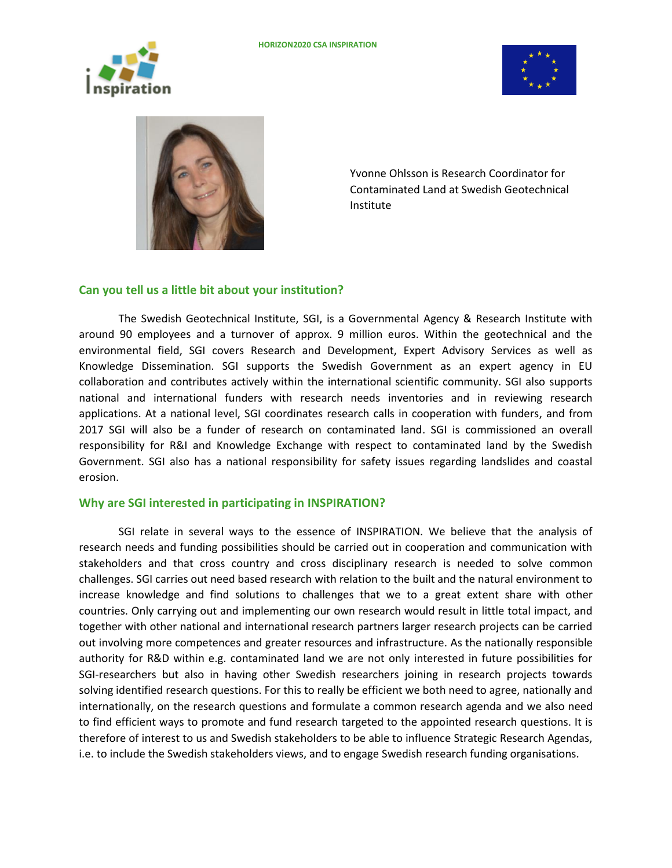





Yvonne Ohlsson is Research Coordinator for Contaminated Land at Swedish Geotechnical Institute

## **Can you tell us a little bit about your institution?**

The Swedish Geotechnical Institute, SGI, is a Governmental Agency & Research Institute with around 90 employees and a turnover of approx. 9 million euros. Within the geotechnical and the environmental field, SGI covers Research and Development, Expert Advisory Services as well as Knowledge Dissemination. SGI supports the Swedish Government as an expert agency in EU collaboration and contributes actively within the international scientific community. SGI also supports national and international funders with research needs inventories and in reviewing research applications. At a national level, SGI coordinates research calls in cooperation with funders, and from 2017 SGI will also be a funder of research on contaminated land. SGI is commissioned an overall responsibility for R&I and Knowledge Exchange with respect to contaminated land by the Swedish Government. SGI also has a national responsibility for safety issues regarding landslides and coastal erosion.

## **Why are SGI interested in participating in INSPIRATION?**

SGI relate in several ways to the essence of INSPIRATION. We believe that the analysis of research needs and funding possibilities should be carried out in cooperation and communication with stakeholders and that cross country and cross disciplinary research is needed to solve common challenges. SGI carries out need based research with relation to the built and the natural environment to increase knowledge and find solutions to challenges that we to a great extent share with other countries. Only carrying out and implementing our own research would result in little total impact, and together with other national and international research partners larger research projects can be carried out involving more competences and greater resources and infrastructure. As the nationally responsible authority for R&D within e.g. contaminated land we are not only interested in future possibilities for SGI-researchers but also in having other Swedish researchers joining in research projects towards solving identified research questions. For this to really be efficient we both need to agree, nationally and internationally, on the research questions and formulate a common research agenda and we also need to find efficient ways to promote and fund research targeted to the appointed research questions. It is therefore of interest to us and Swedish stakeholders to be able to influence Strategic Research Agendas, i.e. to include the Swedish stakeholders views, and to engage Swedish research funding organisations.